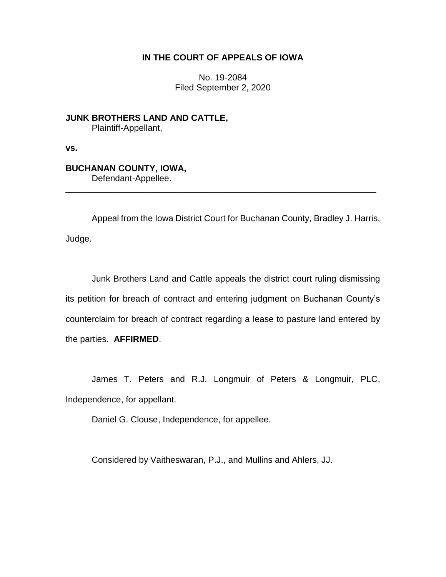## **IN THE COURT OF APPEALS OF IOWA**

No. 19-2084 Filed September 2, 2020

**JUNK BROTHERS LAND AND CATTLE,** Plaintiff-Appellant,

**vs.**

## **BUCHANAN COUNTY, IOWA,**

Defendant-Appellee.

Appeal from the Iowa District Court for Buchanan County, Bradley J. Harris, Judge.

\_\_\_\_\_\_\_\_\_\_\_\_\_\_\_\_\_\_\_\_\_\_\_\_\_\_\_\_\_\_\_\_\_\_\_\_\_\_\_\_\_\_\_\_\_\_\_\_\_\_\_\_\_\_\_\_\_\_\_\_\_\_\_\_

Junk Brothers Land and Cattle appeals the district court ruling dismissing its petition for breach of contract and entering judgment on Buchanan County's counterclaim for breach of contract regarding a lease to pasture land entered by the parties. **AFFIRMED**.

James T. Peters and R.J. Longmuir of Peters & Longmuir, PLC, Independence, for appellant.

Daniel G. Clouse, Independence, for appellee.

Considered by Vaitheswaran, P.J., and Mullins and Ahlers, JJ.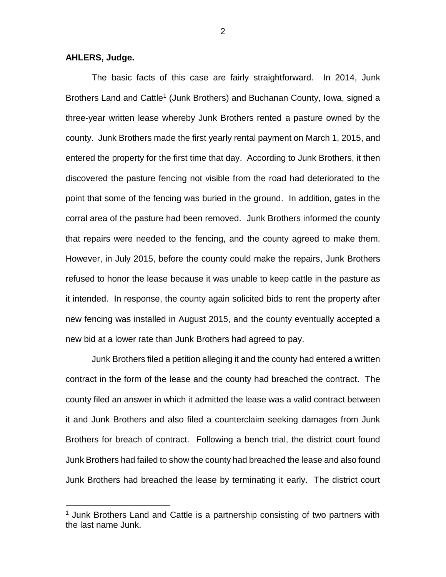**AHLERS, Judge.**

 $\overline{a}$ 

The basic facts of this case are fairly straightforward. In 2014, Junk Brothers Land and Cattle<sup>1</sup> (Junk Brothers) and Buchanan County, Iowa, signed a three-year written lease whereby Junk Brothers rented a pasture owned by the county. Junk Brothers made the first yearly rental payment on March 1, 2015, and entered the property for the first time that day. According to Junk Brothers, it then discovered the pasture fencing not visible from the road had deteriorated to the point that some of the fencing was buried in the ground. In addition, gates in the corral area of the pasture had been removed. Junk Brothers informed the county that repairs were needed to the fencing, and the county agreed to make them. However, in July 2015, before the county could make the repairs, Junk Brothers refused to honor the lease because it was unable to keep cattle in the pasture as it intended. In response, the county again solicited bids to rent the property after new fencing was installed in August 2015, and the county eventually accepted a new bid at a lower rate than Junk Brothers had agreed to pay.

Junk Brothers filed a petition alleging it and the county had entered a written contract in the form of the lease and the county had breached the contract. The county filed an answer in which it admitted the lease was a valid contract between it and Junk Brothers and also filed a counterclaim seeking damages from Junk Brothers for breach of contract. Following a bench trial, the district court found Junk Brothers had failed to show the county had breached the lease and also found Junk Brothers had breached the lease by terminating it early. The district court

 $1$  Junk Brothers Land and Cattle is a partnership consisting of two partners with the last name Junk.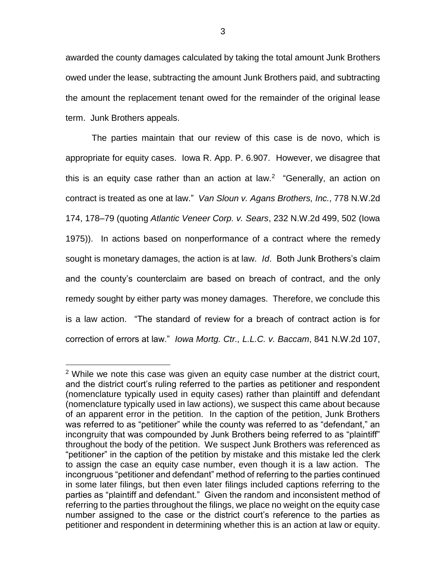awarded the county damages calculated by taking the total amount Junk Brothers owed under the lease, subtracting the amount Junk Brothers paid, and subtracting the amount the replacement tenant owed for the remainder of the original lease term. Junk Brothers appeals.

The parties maintain that our review of this case is de novo, which is appropriate for equity cases. Iowa R. App. P. 6.907. However, we disagree that this is an equity case rather than an action at law.<sup>2</sup> "Generally, an action on contract is treated as one at law." *Van Sloun v. Agans Brothers, Inc.*, 778 N.W.2d 174, 178–79 (quoting *Atlantic Veneer Corp. v. Sears*, 232 N.W.2d 499, 502 (Iowa 1975)). In actions based on nonperformance of a contract where the remedy sought is monetary damages, the action is at law. *Id*. Both Junk Brothers's claim and the county's counterclaim are based on breach of contract, and the only remedy sought by either party was money damages. Therefore, we conclude this is a law action. "The standard of review for a breach of contract action is for correction of errors at law." *Iowa Mortg. Ctr., L.L.C. v. Baccam*, 841 N.W.2d 107,

 $\overline{a}$ 

<sup>&</sup>lt;sup>2</sup> While we note this case was given an equity case number at the district court, and the district court's ruling referred to the parties as petitioner and respondent (nomenclature typically used in equity cases) rather than plaintiff and defendant (nomenclature typically used in law actions), we suspect this came about because of an apparent error in the petition. In the caption of the petition, Junk Brothers was referred to as "petitioner" while the county was referred to as "defendant," an incongruity that was compounded by Junk Brothers being referred to as "plaintiff" throughout the body of the petition. We suspect Junk Brothers was referenced as "petitioner" in the caption of the petition by mistake and this mistake led the clerk to assign the case an equity case number, even though it is a law action. The incongruous "petitioner and defendant" method of referring to the parties continued in some later filings, but then even later filings included captions referring to the parties as "plaintiff and defendant." Given the random and inconsistent method of referring to the parties throughout the filings, we place no weight on the equity case number assigned to the case or the district court's reference to the parties as petitioner and respondent in determining whether this is an action at law or equity.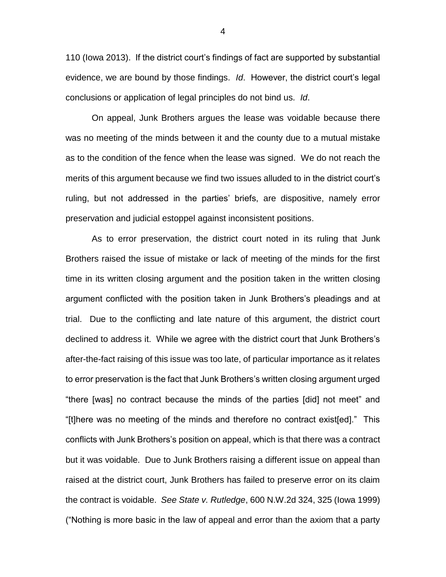110 (Iowa 2013). If the district court's findings of fact are supported by substantial evidence, we are bound by those findings. *Id*. However, the district court's legal conclusions or application of legal principles do not bind us. *Id*.

On appeal, Junk Brothers argues the lease was voidable because there was no meeting of the minds between it and the county due to a mutual mistake as to the condition of the fence when the lease was signed. We do not reach the merits of this argument because we find two issues alluded to in the district court's ruling, but not addressed in the parties' briefs, are dispositive, namely error preservation and judicial estoppel against inconsistent positions.

As to error preservation, the district court noted in its ruling that Junk Brothers raised the issue of mistake or lack of meeting of the minds for the first time in its written closing argument and the position taken in the written closing argument conflicted with the position taken in Junk Brothers's pleadings and at trial. Due to the conflicting and late nature of this argument, the district court declined to address it. While we agree with the district court that Junk Brothers's after-the-fact raising of this issue was too late, of particular importance as it relates to error preservation is the fact that Junk Brothers's written closing argument urged "there [was] no contract because the minds of the parties [did] not meet" and "[t]here was no meeting of the minds and therefore no contract exist[ed]." This conflicts with Junk Brothers's position on appeal, which is that there was a contract but it was voidable. Due to Junk Brothers raising a different issue on appeal than raised at the district court, Junk Brothers has failed to preserve error on its claim the contract is voidable. *See State v. Rutledge*, 600 N.W.2d 324, 325 (Iowa 1999) ("Nothing is more basic in the law of appeal and error than the axiom that a party

4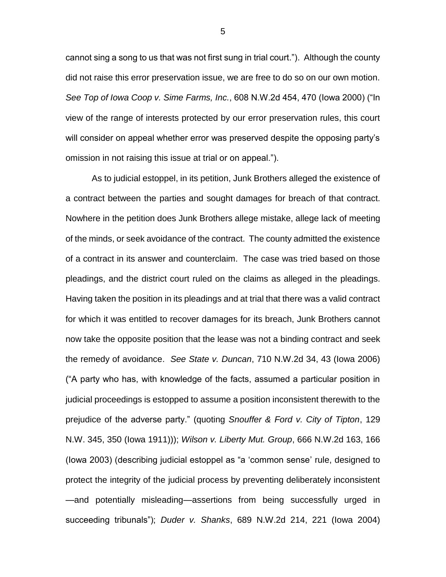cannot sing a song to us that was not first sung in trial court."). Although the county did not raise this error preservation issue, we are free to do so on our own motion. *See Top of Iowa Coop v. Sime Farms, Inc.*, 608 N.W.2d 454, 470 (Iowa 2000) ("In view of the range of interests protected by our error preservation rules, this court will consider on appeal whether error was preserved despite the opposing party's omission in not raising this issue at trial or on appeal.").

As to judicial estoppel, in its petition, Junk Brothers alleged the existence of a contract between the parties and sought damages for breach of that contract. Nowhere in the petition does Junk Brothers allege mistake, allege lack of meeting of the minds, or seek avoidance of the contract. The county admitted the existence of a contract in its answer and counterclaim. The case was tried based on those pleadings, and the district court ruled on the claims as alleged in the pleadings. Having taken the position in its pleadings and at trial that there was a valid contract for which it was entitled to recover damages for its breach, Junk Brothers cannot now take the opposite position that the lease was not a binding contract and seek the remedy of avoidance. *See State v. Duncan*, 710 N.W.2d 34, 43 (Iowa 2006) ("A party who has, with knowledge of the facts, assumed a particular position in judicial proceedings is estopped to assume a position inconsistent therewith to the prejudice of the adverse party." (quoting *Snouffer & Ford v. City of Tipton*, 129 N.W. 345, 350 (Iowa 1911))); *Wilson v. Liberty Mut. Group*, 666 N.W.2d 163, 166 (Iowa 2003) (describing judicial estoppel as "a 'common sense' rule, designed to protect the integrity of the judicial process by preventing deliberately inconsistent —and potentially misleading—assertions from being successfully urged in succeeding tribunals"); *Duder v. Shanks*, 689 N.W.2d 214, 221 (Iowa 2004)

5